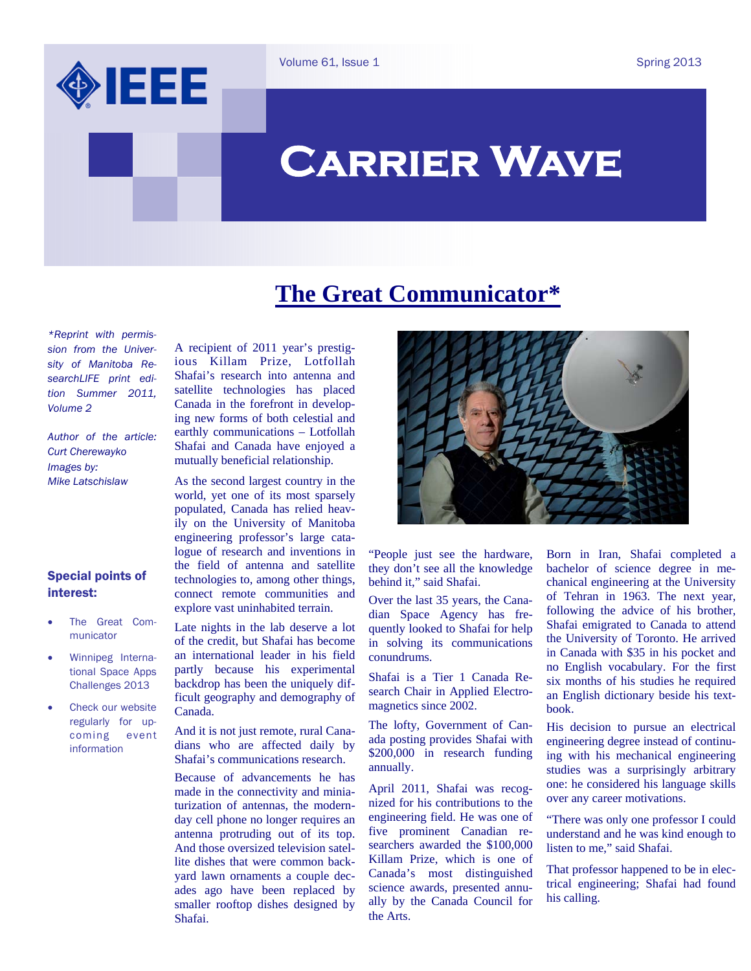

Spring 2013

# **Carrier Wave**

## **The Great Communicator\***

*\*Reprint with permission from the University of Manitoba ResearchLIFE print edition Summer 2011, Volume 2* 

*Author of the article: Curt Cherewayko Images by: Mike Latschislaw* 

#### Special points of interest:

- The Great Communicator
- Winnipeg International Space Apps Challenges 2013
- Check our website regularly for upcoming event information

A recipient of 2011 year's prestigious Killam Prize, Lotfollah Shafai's research into antenna and satellite technologies has placed Canada in the forefront in developing new forms of both celestial and earthly communications – Lotfollah Shafai and Canada have enjoyed a mutually beneficial relationship.

As the second largest country in the world, yet one of its most sparsely populated, Canada has relied heavily on the University of Manitoba engineering professor's large catalogue of research and inventions in the field of antenna and satellite technologies to, among other things, connect remote communities and explore vast uninhabited terrain.

Late nights in the lab deserve a lot of the credit, but Shafai has become an international leader in his field partly because his experimental backdrop has been the uniquely difficult geography and demography of Canada.

And it is not just remote, rural Canadians who are affected daily by Shafai's communications research.

Because of advancements he has made in the connectivity and miniaturization of antennas, the modernday cell phone no longer requires an antenna protruding out of its top. And those oversized television satellite dishes that were common backyard lawn ornaments a couple decades ago have been replaced by smaller rooftop dishes designed by Shafai.



"People just see the hardware, they don't see all the knowledge behind it," said Shafai.

Over the last 35 years, the Canadian Space Agency has frequently looked to Shafai for help in solving its communications conundrums.

Shafai is a Tier 1 Canada Research Chair in Applied Electromagnetics since 2002.

The lofty, Government of Canada posting provides Shafai with \$200,000 in research funding annually.

April 2011, Shafai was recognized for his contributions to the engineering field. He was one of five prominent Canadian researchers awarded the \$100,000 Killam Prize, which is one of Canada's most distinguished science awards, presented annually by the Canada Council for the Arts.

Born in Iran, Shafai completed a bachelor of science degree in mechanical engineering at the University of Tehran in 1963. The next year, following the advice of his brother, Shafai emigrated to Canada to attend the University of Toronto. He arrived in Canada with \$35 in his pocket and no English vocabulary. For the first six months of his studies he required an English dictionary beside his textbook.

His decision to pursue an electrical engineering degree instead of continuing with his mechanical engineering studies was a surprisingly arbitrary one: he considered his language skills over any career motivations.

"There was only one professor I could understand and he was kind enough to listen to me," said Shafai.

That professor happened to be in electrical engineering; Shafai had found his calling.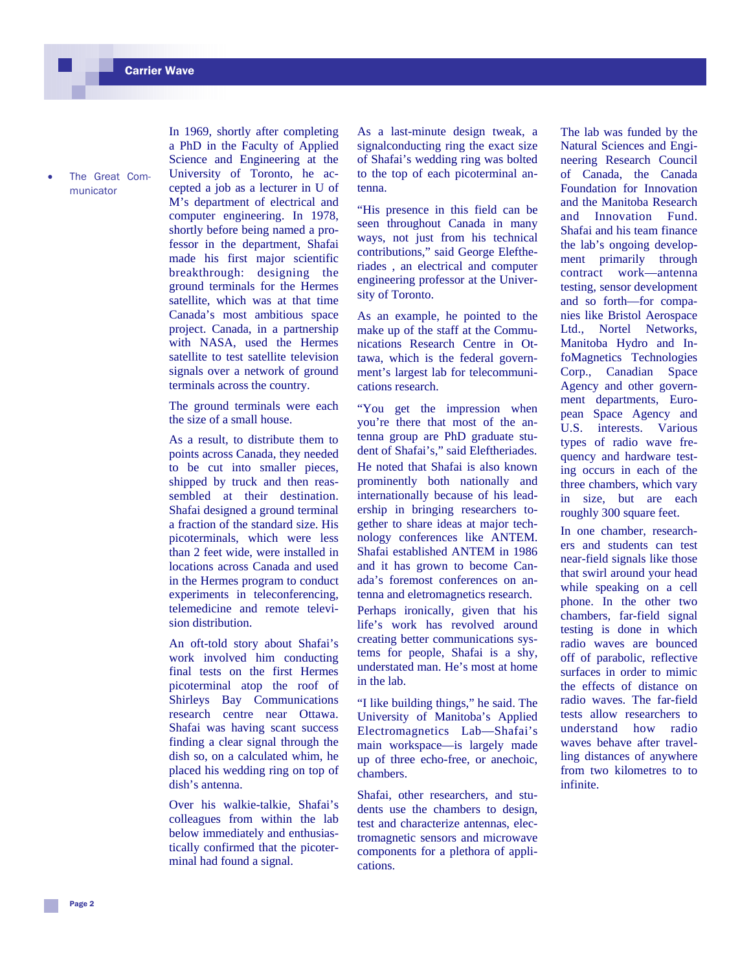The Great Communicator

In 1969, shortly after completing a PhD in the Faculty of Applied Science and Engineering at the University of Toronto, he accepted a job as a lecturer in U of M's department of electrical and computer engineering. In 1978, shortly before being named a professor in the department, Shafai made his first major scientific breakthrough: designing the ground terminals for the Hermes satellite, which was at that time Canada's most ambitious space project. Canada, in a partnership with NASA, used the Hermes satellite to test satellite television signals over a network of ground terminals across the country.

The ground terminals were each the size of a small house.

As a result, to distribute them to points across Canada, they needed to be cut into smaller pieces, shipped by truck and then reassembled at their destination. Shafai designed a ground terminal a fraction of the standard size. His picoterminals, which were less than 2 feet wide, were installed in locations across Canada and used in the Hermes program to conduct experiments in teleconferencing, telemedicine and remote television distribution.

An oft-told story about Shafai's work involved him conducting final tests on the first Hermes picoterminal atop the roof of Shirleys Bay Communications research centre near Ottawa. Shafai was having scant success finding a clear signal through the dish so, on a calculated whim, he placed his wedding ring on top of dish's antenna.

Over his walkie-talkie, Shafai's colleagues from within the lab below immediately and enthusiastically confirmed that the picoterminal had found a signal.

As a last-minute design tweak, a signalconducting ring the exact size of Shafai's wedding ring was bolted to the top of each picoterminal antenna.

"His presence in this field can be seen throughout Canada in many ways, not just from his technical contributions," said George Eleftheriades , an electrical and computer engineering professor at the University of Toronto.

As an example, he pointed to the make up of the staff at the Communications Research Centre in Ottawa, which is the federal government's largest lab for telecommunications research.

"You get the impression when you're there that most of the antenna group are PhD graduate student of Shafai's," said Eleftheriades. He noted that Shafai is also known prominently both nationally and internationally because of his leadership in bringing researchers together to share ideas at major technology conferences like ANTEM. Shafai established ANTEM in 1986 and it has grown to become Canada's foremost conferences on antenna and eletromagnetics research. Perhaps ironically, given that his life's work has revolved around creating better communications systems for people, Shafai is a shy, understated man. He's most at home in the lab.

"I like building things," he said. The University of Manitoba's Applied Electromagnetics Lab—Shafai's main workspace—is largely made up of three echo-free, or anechoic, chambers.

Shafai, other researchers, and students use the chambers to design, test and characterize antennas, electromagnetic sensors and microwave components for a plethora of applications.

The lab was funded by the Natural Sciences and Engineering Research Council of Canada, the Canada Foundation for Innovation and the Manitoba Research and Innovation Fund. Shafai and his team finance the lab's ongoing development primarily through contract work—antenna testing, sensor development and so forth—for companies like Bristol Aerospace Ltd., Nortel Networks, Manitoba Hydro and InfoMagnetics Technologies Corp., Canadian Space Agency and other government departments, European Space Agency and U.S. interests. Various types of radio wave frequency and hardware testing occurs in each of the three chambers, which vary in size, but are each roughly 300 square feet.

In one chamber, researchers and students can test near-field signals like those that swirl around your head while speaking on a cell phone. In the other two chambers, far-field signal testing is done in which radio waves are bounced off of parabolic, reflective surfaces in order to mimic the effects of distance on radio waves. The far-field tests allow researchers to understand how radio waves behave after travelling distances of anywhere from two kilometres to to infinite.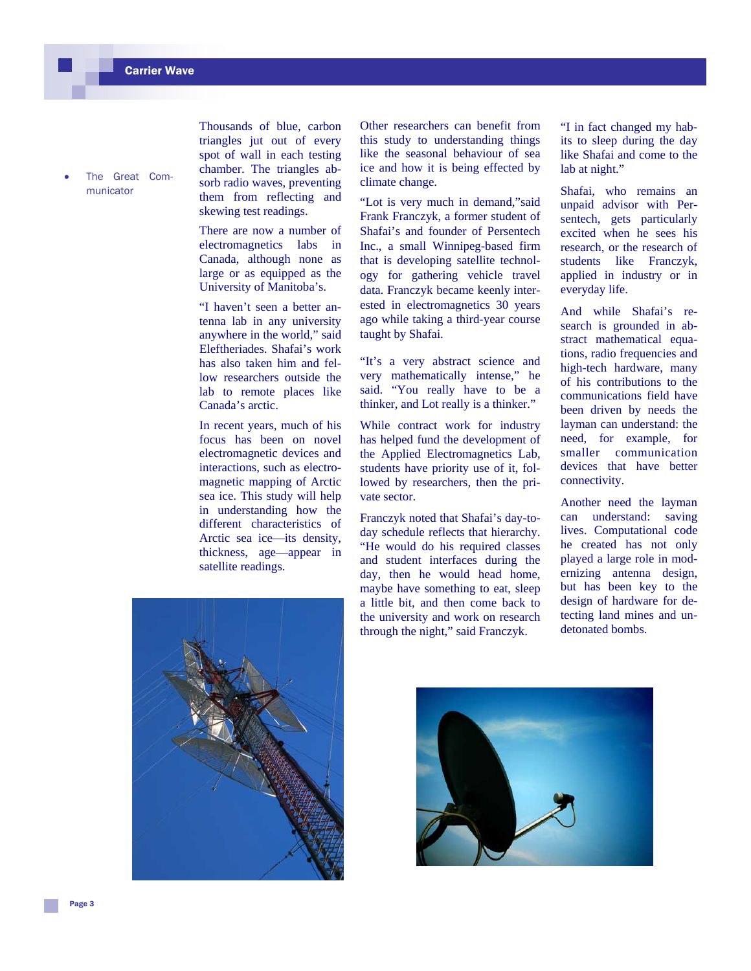The Great Communicator

Thousands of blue, carbon triangles jut out of every spot of wall in each testing chamber. The triangles absorb radio waves, preventing them from reflecting and skewing test readings.

There are now a number of electromagnetics labs in Canada, although none as large or as equipped as the University of Manitoba's.

"I haven't seen a better antenna lab in any university anywhere in the world," said Eleftheriades. Shafai's work has also taken him and fellow researchers outside the lab to remote places like Canada's arctic.

In recent years, much of his focus has been on novel electromagnetic devices and interactions, such as electromagnetic mapping of Arctic sea ice. This study will help in understanding how the different characteristics of Arctic sea ice—its density, thickness, age—appear in satellite readings.

Other researchers can benefit from this study to understanding things like the seasonal behaviour of sea ice and how it is being effected by climate change.

"Lot is very much in demand,"said Frank Franczyk, a former student of Shafai's and founder of Persentech Inc., a small Winnipeg-based firm that is developing satellite technology for gathering vehicle travel data. Franczyk became keenly interested in electromagnetics 30 years ago while taking a third-year course taught by Shafai.

"It's a very abstract science and very mathematically intense," he said. "You really have to be a thinker, and Lot really is a thinker."

While contract work for industry has helped fund the development of the Applied Electromagnetics Lab, students have priority use of it, followed by researchers, then the private sector.

Franczyk noted that Shafai's day-today schedule reflects that hierarchy. "He would do his required classes and student interfaces during the day, then he would head home, maybe have something to eat, sleep a little bit, and then come back to the university and work on research through the night," said Franczyk.

"I in fact changed my habits to sleep during the day like Shafai and come to the lab at night."

Shafai, who remains an unpaid advisor with Persentech, gets particularly excited when he sees his research, or the research of students like Franczyk, applied in industry or in everyday life.

And while Shafai's research is grounded in abstract mathematical equations, radio frequencies and high-tech hardware, many of his contributions to the communications field have been driven by needs the layman can understand: the need, for example, for smaller communication devices that have better connectivity.

Another need the layman can understand: saving lives. Computational code he created has not only played a large role in modernizing antenna design, but has been key to the design of hardware for detecting land mines and undetonated bombs.



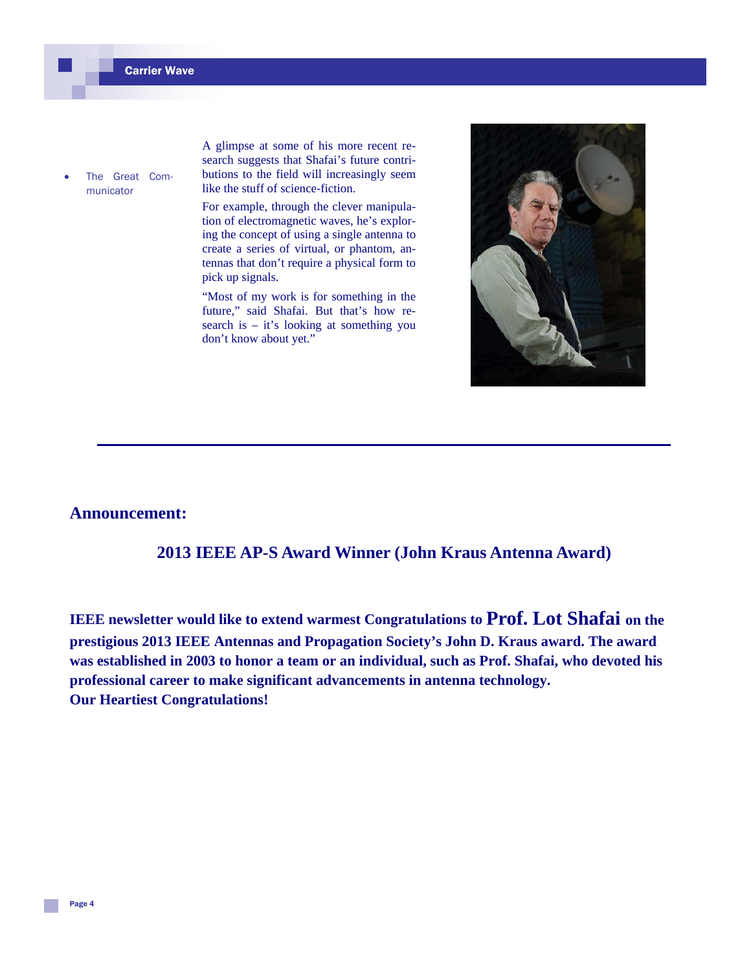The Great Communicator

A glimpse at some of his more recent research suggests that Shafai's future contributions to the field will increasingly seem like the stuff of science-fiction.

For example, through the clever manipulation of electromagnetic waves, he's exploring the concept of using a single antenna to create a series of virtual, or phantom, antennas that don't require a physical form to pick up signals.

"Most of my work is for something in the future," said Shafai. But that's how research is – it's looking at something you don't know about yet."



#### **Announcement:**

## **2013 IEEE AP-S Award Winner (John Kraus Antenna Award)**

**IEEE newsletter would like to extend warmest Congratulations to Prof. Lot Shafai on the prestigious 2013 IEEE Antennas and Propagation Society's John D. Kraus award. The award was established in 2003 to honor a team or an individual, such as Prof. Shafai, who devoted his professional career to make significant advancements in antenna technology. Our Heartiest Congratulations!**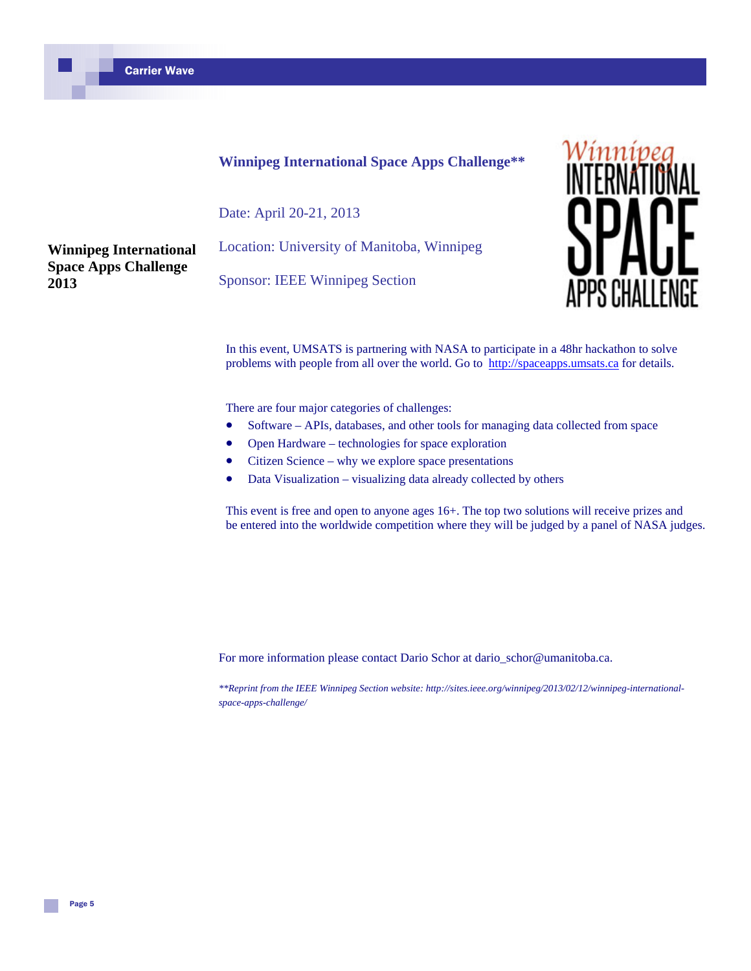### **Winnipeg International Space Apps Challenge\*\***

Date: April 20-21, 2013

**Winnipeg International Space Apps Challenge 2013**

Location: University of Manitoba, Winnipeg

Sponsor: IEEE Winnipeg Section



In this event, UMSATS is partnering with NASA to participate in a 48hr hackathon to solve problems with people from all over the world. Go to http://spaceapps.umsats.ca for details.

There are four major categories of challenges:

- Software APIs, databases, and other tools for managing data collected from space
- Open Hardware technologies for space exploration
- Citizen Science why we explore space presentations
- Data Visualization visualizing data already collected by others

This event is free and open to anyone ages 16+. The top two solutions will receive prizes and be entered into the worldwide competition where they will be judged by a panel of NASA judges.

For more information please contact Dario Schor at dario\_schor@umanitoba.ca.

*\*\*Reprint from the IEEE Winnipeg Section website: http://sites.ieee.org/winnipeg/2013/02/12/winnipeg-internationalspace-apps-challenge/*